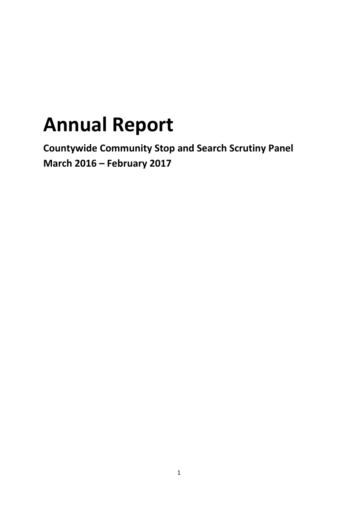# **Annual Report**

**Countywide Community Stop and Search Scrutiny Panel March 2016 – February 2017**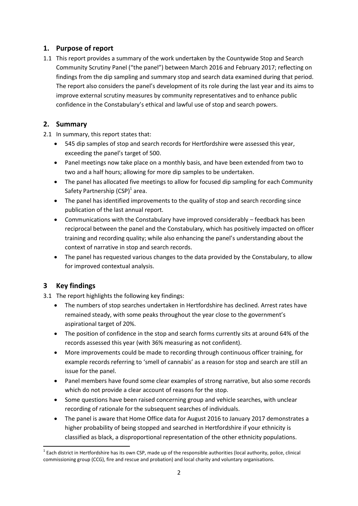# **1. Purpose of report**

1.1 This report provides a summary of the work undertaken by the Countywide Stop and Search Community Scrutiny Panel ("the panel") between March 2016 and February 2017; reflecting on findings from the dip sampling and summary stop and search data examined during that period. The report also considers the panel's development of its role during the last year and its aims to improve external scrutiny measures by community representatives and to enhance public confidence in the Constabulary's ethical and lawful use of stop and search powers.

# **2. Summary**

- 2.1 In summary, this report states that:
	- 545 dip samples of stop and search records for Hertfordshire were assessed this year, exceeding the panel's target of 500.
	- Panel meetings now take place on a monthly basis, and have been extended from two to two and a half hours; allowing for more dip samples to be undertaken.
	- The panel has allocated five meetings to allow for focused dip sampling for each Community Safety Partnership (CSP)<sup>1</sup> area.
	- The panel has identified improvements to the quality of stop and search recording since publication of the last annual report.
	- Communications with the Constabulary have improved considerably feedback has been reciprocal between the panel and the Constabulary, which has positively impacted on officer training and recording quality; while also enhancing the panel's understanding about the context of narrative in stop and search records.
	- The panel has requested various changes to the data provided by the Constabulary, to allow for improved contextual analysis.

# **3 Key findings**

**.** 

3.1 The report highlights the following key findings:

- The numbers of stop searches undertaken in Hertfordshire has declined. Arrest rates have remained steady, with some peaks throughout the year close to the government's aspirational target of 20%.
- The position of confidence in the stop and search forms currently sits at around 64% of the records assessed this year (with 36% measuring as not confident).
- More improvements could be made to recording through continuous officer training, for example records referring to 'smell of cannabis' as a reason for stop and search are still an issue for the panel.
- Panel members have found some clear examples of strong narrative, but also some records which do not provide a clear account of reasons for the stop.
- Some questions have been raised concerning group and vehicle searches, with unclear recording of rationale for the subsequent searches of individuals.
- The panel is aware that Home Office data for August 2016 to January 2017 demonstrates a higher probability of being stopped and searched in Hertfordshire if your ethnicity is classified as black, a disproportional representation of the other ethnicity populations.

 $1$  Each district in Hertfordshire has its own CSP, made up of the responsible authorities (local authority, police, clinical commissioning group (CCG), fire and rescue and probation) and local charity and voluntary organisations.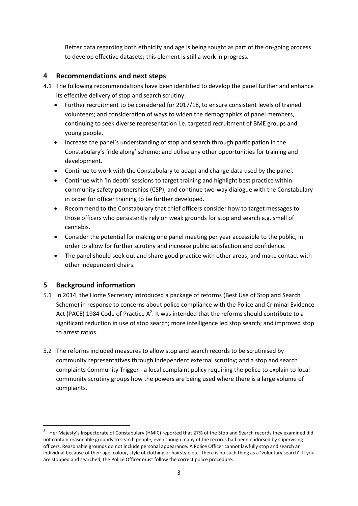Better data regarding both ethnicity and age is being sought as part of the on-going process to develop effective datasets; this element is still a work in progress.

# **4 Recommendations and next steps**

- 4.1 The following recommendations have been identified to develop the panel further and enhance its effective delivery of stop and search scrutiny:
	- Further recruitment to be considered for 2017/18, to ensure consistent levels of trained volunteers; and consideration of ways to widen the demographics of panel members, continuing to seek diverse representation i.e. targeted recruitment of BME groups and young people.
	- Increase the panel's understanding of stop and search through participation in the Constabulary's 'ride along' scheme; and utilise any other opportunities for training and development.
	- Continue to work with the Constabulary to adapt and change data used by the panel.
	- Continue with 'in depth' sessions to target training and highlight best practice within community safety partnerships (CSP); and continue two-way dialogue with the Constabulary in order for officer training to be further developed.
	- Recommend to the Constabulary that chief officers consider how to target messages to those officers who persistently rely on weak grounds for stop and search e.g. smell of cannabis.
	- Consider the potential for making one panel meeting per year accessible to the public, in order to allow for further scrutiny and increase public satisfaction and confidence.
	- The panel should seek out and share good practice with other areas; and make contact with other independent chairs.

# **5 Background information**

 $\overline{a}$ 

- 5.1 In 2014, the Home Secretary introduced a package of reforms (Best Use of Stop and Search Scheme) in response to concerns about police compliance with the Police and Criminal Evidence Act (PACE) 1984 Code of Practice  $A^2$ . It was intended that the reforms should contribute to a significant reduction in use of stop search; more intelligence led stop search; and improved stop to arrest ratios.
- 5.2 The reforms included measures to allow stop and search records to be scrutinised by community representatives through independent external scrutiny; and a stop and search complaints Community Trigger - a local complaint policy requiring the police to explain to local community scrutiny groups how the powers are being used where there is a large volume of complaints.

<sup>2</sup> Her Majesty's Inspectorate of Constabulary (HMIC) reported that 27% of the Stop and Search records they examined did not contain reasonable grounds to search people, even though many of the records had been endorsed by supervising officers. Reasonable grounds do not include personal appearance. A Police Officer cannot lawfully stop and search an individual because of their age, colour, style of clothing or hairstyle etc. There is no such thing as a 'voluntary search'. If you are stopped and searched, the Police Officer must follow the correct police procedure.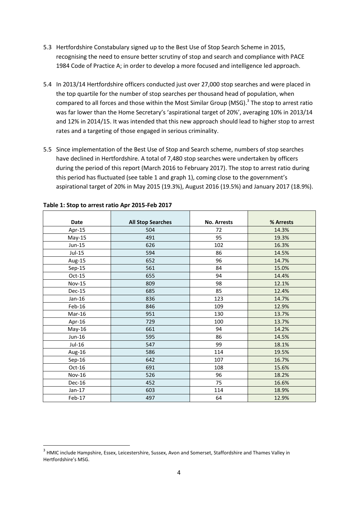- 5.3 Hertfordshire Constabulary signed up to the Best Use of Stop Search Scheme in 2015, recognising the need to ensure better scrutiny of stop and search and compliance with PACE 1984 Code of Practice A; in order to develop a more focused and intelligence led approach.
- 5.4 In 2013/14 Hertfordshire officers conducted just over 27,000 stop searches and were placed in the top quartile for the number of stop searches per thousand head of population, when compared to all forces and those within the Most Similar Group (MSG).<sup>3</sup> The stop to arrest ratio was far lower than the Home Secretary's 'aspirational target of 20%', averaging 10% in 2013/14 and 12% in 2014/15. It was intended that this new approach should lead to higher stop to arrest rates and a targeting of those engaged in serious criminality.
- 5.5 Since implementation of the Best Use of Stop and Search scheme, numbers of stop searches have declined in Hertfordshire. A total of 7,480 stop searches were undertaken by officers during the period of this report (March 2016 to February 2017). The stop to arrest ratio during this period has fluctuated (see table 1 and graph 1), coming close to the government's aspirational target of 20% in May 2015 (19.3%), August 2016 (19.5%) and January 2017 (18.9%).

| <b>Date</b>   | <b>All Stop Searches</b> | <b>No. Arrests</b> | % Arrests |  |
|---------------|--------------------------|--------------------|-----------|--|
| Apr-15        | 504                      | 72                 | 14.3%     |  |
| $May-15$      | 491                      | 95                 | 19.3%     |  |
| Jun-15        | 626                      | 102                | 16.3%     |  |
| Jul-15        | 594                      | 86                 | 14.5%     |  |
| Aug-15        | 652                      | 96                 | 14.7%     |  |
| $Sep-15$      | 561                      | 84                 | 15.0%     |  |
| $Oct-15$      | 655                      | 94                 | 14.4%     |  |
| <b>Nov-15</b> | 809                      | 98                 | 12.1%     |  |
| <b>Dec-15</b> | 685                      | 85                 | 12.4%     |  |
| Jan-16        | 836                      | 123                | 14.7%     |  |
| Feb-16        | 846                      | 109                | 12.9%     |  |
| Mar-16        | 951                      | 130                | 13.7%     |  |
| Apr-16        | 729                      | 100                | 13.7%     |  |
| May-16        | 661                      | 94                 | 14.2%     |  |
| Jun-16        | 595                      | 86                 | 14.5%     |  |
| Jul-16        | 547                      | 99                 | 18.1%     |  |
| Aug-16        | 586                      | 114                | 19.5%     |  |
| $Sep-16$      | 642                      | 107                | 16.7%     |  |
| $Oct-16$      | 691                      | 108                | 15.6%     |  |
| <b>Nov-16</b> | 526                      | 96                 | 18.2%     |  |
| Dec-16        | 452                      | 75                 | 16.6%     |  |
| $Jan-17$      | 603                      | 114                | 18.9%     |  |
| Feb-17        | 497                      | 64                 | 12.9%     |  |

#### **Table 1: Stop to arrest ratio Apr 2015-Feb 2017**

<sup>&</sup>lt;sup>3</sup> HMIC include Hampshire, Essex, Leicestershire, Sussex, Avon and Somerset, Staffordshire and Thames Valley in Hertfordshire's MSG.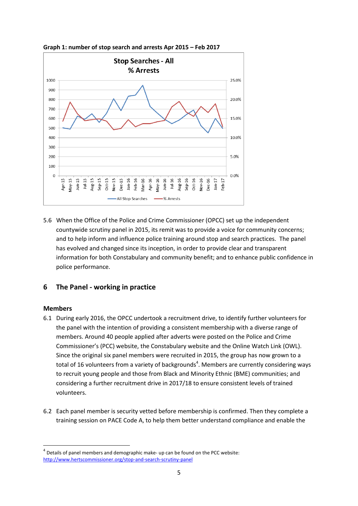

**Graph 1: number of stop search and arrests Apr 2015 – Feb 2017**

5.6 When the Office of the Police and Crime Commissioner (OPCC) set up the independent countywide scrutiny panel in 2015, its remit was to provide a voice for community concerns; and to help inform and influence police training around stop and search practices. The panel has evolved and changed since its inception, in order to provide clear and transparent information for both Constabulary and community benefit; and to enhance public confidence in police performance.

# **6 The Panel - working in practice**

#### **Members**

- 6.1 During early 2016, the OPCC undertook a recruitment drive, to identify further volunteers for the panel with the intention of providing a consistent membership with a diverse range of members. Around 40 people applied after adverts were posted on the Police and Crime Commissioner's (PCC) website, the Constabulary website and the Online Watch Link (OWL). Since the original six panel members were recruited in 2015, the group has now grown to a total of 16 volunteers from a variety of backgrounds<sup>4</sup>. Members are currently considering ways to recruit young people and those from Black and Minority Ethnic (BME) communities; and considering a further recruitment drive in 2017/18 to ensure consistent levels of trained volunteers.
- 6.2 Each panel member is security vetted before membership is confirmed. Then they complete a training session on PACE Code A, to help them better understand compliance and enable the

 $<sup>4</sup>$  Details of panel members and demographic make- up can be found on the PCC website:</sup> <http://www.hertscommissioner.org/stop-and-search-scrutiny-panel>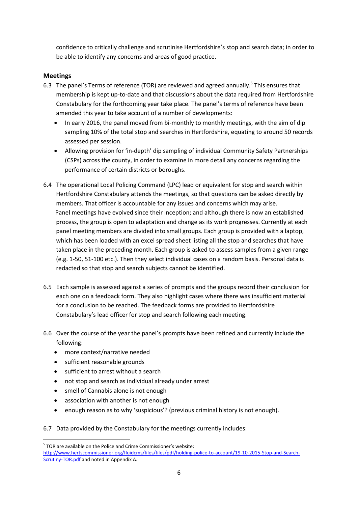confidence to critically challenge and scrutinise Hertfordshire's stop and search data; in order to be able to identify any concerns and areas of good practice.

# **Meetings**

- 6.3 The panel's Terms of reference (TOR) are reviewed and agreed annually.<sup>5</sup> This ensures that membership is kept up-to-date and that discussions about the data required from Hertfordshire Constabulary for the forthcoming year take place. The panel's terms of reference have been amended this year to take account of a number of developments:
	- In early 2016, the panel moved from bi-monthly to monthly meetings, with the aim of dip sampling 10% of the total stop and searches in Hertfordshire, equating to around 50 records assessed per session.
	- Allowing provision for 'in-depth' dip sampling of individual Community Safety Partnerships (CSPs) across the county, in order to examine in more detail any concerns regarding the performance of certain districts or boroughs.
- 6.4 The operational Local Policing Command (LPC) lead or equivalent for stop and search within Hertfordshire Constabulary attends the meetings, so that questions can be asked directly by members. That officer is accountable for any issues and concerns which may arise. Panel meetings have evolved since their inception; and although there is now an established process, the group is open to adaptation and change as its work progresses. Currently at each panel meeting members are divided into small groups. Each group is provided with a laptop, which has been loaded with an excel spread sheet listing all the stop and searches that have taken place in the preceding month. Each group is asked to assess samples from a given range (e.g. 1-50, 51-100 etc.). Then they select individual cases on a random basis. Personal data is redacted so that stop and search subjects cannot be identified.
- 6.5 Each sample is assessed against a series of prompts and the groups record their conclusion for each one on a feedback form. They also highlight cases where there was insufficient material for a conclusion to be reached. The feedback forms are provided to Hertfordshire Constabulary's lead officer for stop and search following each meeting.
- 6.6 Over the course of the year the panel's prompts have been refined and currently include the following:
	- more context/narrative needed
	- sufficient reasonable grounds

1

- sufficient to arrest without a search
- not stop and search as individual already under arrest
- smell of Cannabis alone is not enough
- association with another is not enough
- enough reason as to why 'suspicious'? (previous criminal history is not enough).
- 6.7 Data provided by the Constabulary for the meetings currently includes:

<sup>&</sup>lt;sup>5</sup> TOR are available on the Police and Crime Commissioner's website:

[http://www.hertscommissioner.org/fluidcms/files/files/pdf/holding-police-to-account/19-10-2015-Stop-and-Search-](http://www.hertscommissioner.org/fluidcms/files/files/pdf/holding-police-to-account/19-10-2015-Stop-and-Search-Scrutiny-TOR.pdf)[Scrutiny-TOR.pdf](http://www.hertscommissioner.org/fluidcms/files/files/pdf/holding-police-to-account/19-10-2015-Stop-and-Search-Scrutiny-TOR.pdf) and noted in Appendix A.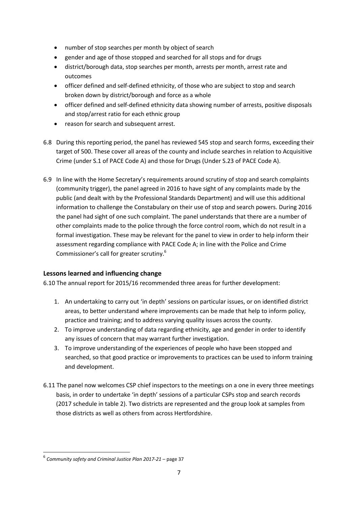- number of stop searches per month by object of search
- gender and age of those stopped and searched for all stops and for drugs
- district/borough data, stop searches per month, arrests per month, arrest rate and outcomes
- officer defined and self-defined ethnicity, of those who are subject to stop and search broken down by district/borough and force as a whole
- officer defined and self-defined ethnicity data showing number of arrests, positive disposals and stop/arrest ratio for each ethnic group
- reason for search and subsequent arrest.
- 6.8 During this reporting period, the panel has reviewed 545 stop and search forms, exceeding their target of 500. These cover all areas of the county and include searches in relation to Acquisitive Crime (under S.1 of PACE Code A) and those for Drugs (Under S.23 of PACE Code A).
- 6.9 In line with the Home Secretary's requirements around scrutiny of stop and search complaints (community trigger), the panel agreed in 2016 to have sight of any complaints made by the public (and dealt with by the Professional Standards Department) and will use this additional information to challenge the Constabulary on their use of stop and search powers. During 2016 the panel had sight of one such complaint. The panel understands that there are a number of other complaints made to the police through the force control room, which do not result in a formal investigation. These may be relevant for the panel to view in order to help inform their assessment regarding compliance with PACE Code A; in line with the Police and Crime Commissioner's call for greater scrutiny.<sup>6</sup>

#### **Lessons learned and influencing change**

6.10 The annual report for 2015/16 recommended three areas for further development:

- 1. An undertaking to carry out 'in depth' sessions on particular issues, or on identified district areas, to better understand where improvements can be made that help to inform policy, practice and training; and to address varying quality issues across the county.
- 2. To improve understanding of data regarding ethnicity, age and gender in order to identify any issues of concern that may warrant further investigation.
- 3. To improve understanding of the experiences of people who have been stopped and searched, so that good practice or improvements to practices can be used to inform training and development.
- 6.11 The panel now welcomes CSP chief inspectors to the meetings on a one in every three meetings basis, in order to undertake 'in depth' sessions of a particular CSPs stop and search records (2017 schedule in table 2). Two districts are represented and the group look at samples from those districts as well as others from across Hertfordshire.

<sup>6</sup> *Community safety and Criminal Justice Plan 2017-21* – page 37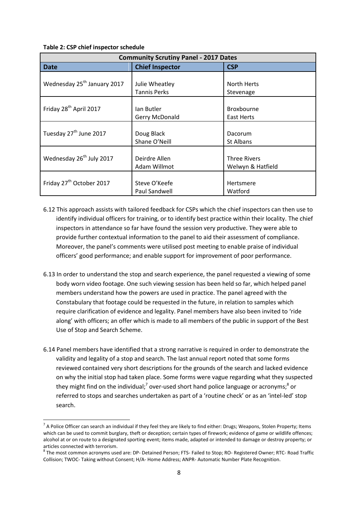#### **Table 2: CSP chief inspector schedule**

| <b>Community Scrutiny Panel - 2017 Dates</b> |                        |                     |  |  |  |  |  |
|----------------------------------------------|------------------------|---------------------|--|--|--|--|--|
| <b>Date</b>                                  | <b>Chief Inspector</b> | <b>CSP</b>          |  |  |  |  |  |
|                                              |                        |                     |  |  |  |  |  |
| Wednesday 25 <sup>th</sup> January 2017      | Julie Wheatley         | North Herts         |  |  |  |  |  |
|                                              | <b>Tannis Perks</b>    | Stevenage           |  |  |  |  |  |
|                                              |                        |                     |  |  |  |  |  |
| Friday 28 <sup>th</sup> April 2017           | lan Butler             | Broxbourne          |  |  |  |  |  |
|                                              | Gerry McDonald         | East Herts          |  |  |  |  |  |
|                                              |                        |                     |  |  |  |  |  |
| Tuesday 27 <sup>th</sup> June 2017           | Doug Black             | Dacorum             |  |  |  |  |  |
|                                              | Shane O'Neill          | <b>St Albans</b>    |  |  |  |  |  |
|                                              |                        |                     |  |  |  |  |  |
| Wednesday 26 <sup>th</sup> July 2017         | Deirdre Allen          | <b>Three Rivers</b> |  |  |  |  |  |
|                                              | Adam Willmot           | Welwyn & Hatfield   |  |  |  |  |  |
|                                              |                        |                     |  |  |  |  |  |
| Friday 27 <sup>th</sup> October 2017         | Steve O'Keefe          | Hertsmere           |  |  |  |  |  |
|                                              | Paul Sandwell          | Watford             |  |  |  |  |  |

- 6.12 This approach assists with tailored feedback for CSPs which the chief inspectors can then use to identify individual officers for training, or to identify best practice within their locality. The chief inspectors in attendance so far have found the session very productive. They were able to provide further contextual information to the panel to aid their assessment of compliance. Moreover, the panel's comments were utilised post meeting to enable praise of individual officers' good performance; and enable support for improvement of poor performance.
- 6.13 In order to understand the stop and search experience, the panel requested a viewing of some body worn video footage. One such viewing session has been held so far, which helped panel members understand how the powers are used in practice. The panel agreed with the Constabulary that footage could be requested in the future, in relation to samples which require clarification of evidence and legality. Panel members have also been invited to 'ride along' with officers; an offer which is made to all members of the public in support of the Best Use of Stop and Search Scheme.
- 6.14 Panel members have identified that a strong narrative is required in order to demonstrate the validity and legality of a stop and search. The last annual report noted that some forms reviewed contained very short descriptions for the grounds of the search and lacked evidence on why the initial stop had taken place. Some forms were vague regarding what they suspected they might find on the individual;<sup>7</sup> over-used short hand police language or acronyms;<sup>8</sup> or referred to stops and searches undertaken as part of a 'routine check' or as an 'intel-led' stop search.

 $^7$  A Police Officer can search an individual if they feel they are likely to find either: Drugs; Weapons, Stolen Property; Items which can be used to commit burglary, theft or deception; certain types of firework; evidence of game or wildlife offences; alcohol at or on route to a designated sporting event; items made, adapted or intended to damage or destroy property; or articles connected with terrorism.

<sup>8</sup> The most common acronyms used are: DP- Detained Person; FTS- Failed to Stop; RO- Registered Owner; RTC- Road Traffic Collision; TWOC- Taking without Consent; H/A- Home Address; ANPR- Automatic Number Plate Recognition.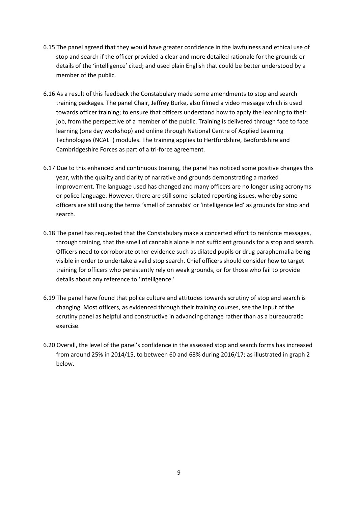- 6.15 The panel agreed that they would have greater confidence in the lawfulness and ethical use of stop and search if the officer provided a clear and more detailed rationale for the grounds or details of the 'intelligence' cited; and used plain English that could be better understood by a member of the public.
- 6.16 As a result of this feedback the Constabulary made some amendments to stop and search training packages. The panel Chair, Jeffrey Burke, also filmed a video message which is used towards officer training; to ensure that officers understand how to apply the learning to their job, from the perspective of a member of the public. Training is delivered through face to face learning (one day workshop) and online through National Centre of Applied Learning Technologies (NCALT) modules. The training applies to Hertfordshire, Bedfordshire and Cambridgeshire Forces as part of a tri-force agreement.
- 6.17 Due to this enhanced and continuous training, the panel has noticed some positive changes this year, with the quality and clarity of narrative and grounds demonstrating a marked improvement. The language used has changed and many officers are no longer using acronyms or police language. However, there are still some isolated reporting issues, whereby some officers are still using the terms 'smell of cannabis' or 'intelligence led' as grounds for stop and search.
- 6.18 The panel has requested that the Constabulary make a concerted effort to reinforce messages, through training, that the smell of cannabis alone is not sufficient grounds for a stop and search. Officers need to corroborate other evidence such as dilated pupils or drug paraphernalia being visible in order to undertake a valid stop search. Chief officers should consider how to target training for officers who persistently rely on weak grounds, or for those who fail to provide details about any reference to 'intelligence.'
- 6.19 The panel have found that police culture and attitudes towards scrutiny of stop and search is changing. Most officers, as evidenced through their training courses, see the input of the scrutiny panel as helpful and constructive in advancing change rather than as a bureaucratic exercise.
- 6.20 Overall, the level of the panel's confidence in the assessed stop and search forms has increased from around 25% in 2014/15, to between 60 and 68% during 2016/17; as illustrated in graph 2 below.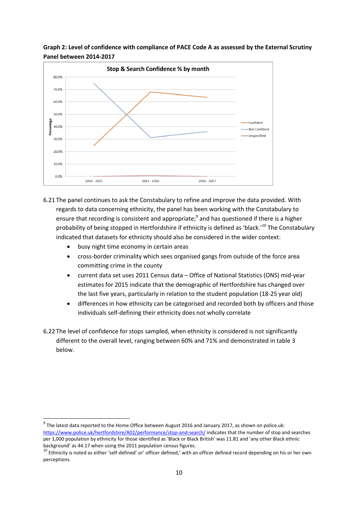



- 6.21 The panel continues to ask the Constabulary to refine and improve the data provided. With regards to data concerning ethnicity, the panel has been working with the Constabulary to ensure that recording is consistent and appropriate;<sup>9</sup> and has questioned if there is a higher probability of being stopped in Hertfordshire if ethnicity is defined as 'black.'<sup>10</sup> The Constabulary indicated that datasets for ethnicity should also be considered in the wider context:
	- busy night time economy in certain areas

- cross-border criminality which sees organised gangs from outside of the force area committing crime in the county
- current data set uses 2011 Census data Office of National Statistics (ONS) mid-year estimates for 2015 indicate that the demographic of Hertfordshire has changed over the last five years, particularly in relation to the student population (18-25 year old)
- differences in how ethnicity can be categorised and recorded both by officers and those individuals self-defining their ethnicity does not wholly correlate
- 6.22 The level of confidence for stops sampled, when ethnicity is considered is not significantly different to the overall level, ranging between 60% and 71% and demonstrated in table 3 below.

 $^9$  The latest data reported to the Home Office between August 2016 and January 2017, as shown on police.uk: <https://www.police.uk/hertfordshire/A02/performance/stop-and-search/> indicates that the number of stop and searches per 1,000 population by ethnicity for those identified as 'Black or Black British' was 11.81 and 'any other Black ethnic background' as 44.17 when using the 2011 population census figures.

<sup>&</sup>lt;sup>10</sup> Ethnicity is noted as either 'self-defined' or' officer defined,' with an officer defined record depending on his or her own perceptions.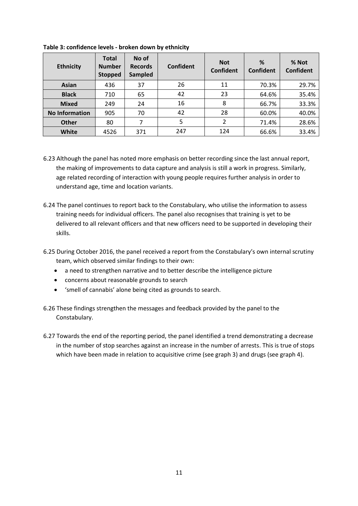| <b>Ethnicity</b>      | <b>Total</b><br><b>Number</b><br><b>Stopped</b> | No of<br><b>Records</b><br><b>Sampled</b> | Confident | <b>Not</b><br>Confident | %<br>Confident | % Not<br><b>Confident</b> |
|-----------------------|-------------------------------------------------|-------------------------------------------|-----------|-------------------------|----------------|---------------------------|
| Asian                 | 436                                             | 37                                        | 26        | 11                      | 70.3%          | 29.7%                     |
| <b>Black</b>          | 710                                             | 65                                        | 42        | 23                      | 64.6%          | 35.4%                     |
| <b>Mixed</b>          | 249                                             | 24                                        | 16        | 8                       | 66.7%          | 33.3%                     |
| <b>No Information</b> | 905                                             | 70                                        | 42        | 28                      | 60.0%          | 40.0%                     |
| <b>Other</b>          | 80                                              | 7                                         | 5         | 2                       | 71.4%          | 28.6%                     |
| White                 | 4526                                            | 371                                       | 247       | 124                     | 66.6%          | 33.4%                     |

**Table 3: confidence levels - broken down by ethnicity**

- 6.23 Although the panel has noted more emphasis on better recording since the last annual report, the making of improvements to data capture and analysis is still a work in progress. Similarly, age related recording of interaction with young people requires further analysis in order to understand age, time and location variants.
- 6.24 The panel continues to report back to the Constabulary, who utilise the information to assess training needs for individual officers. The panel also recognises that training is yet to be delivered to all relevant officers and that new officers need to be supported in developing their skills.
- 6.25 During October 2016, the panel received a report from the Constabulary's own internal scrutiny team, which observed similar findings to their own:
	- a need to strengthen narrative and to better describe the intelligence picture
	- concerns about reasonable grounds to search
	- 'smell of cannabis' alone being cited as grounds to search.
- 6.26 These findings strengthen the messages and feedback provided by the panel to the Constabulary.
- 6.27 Towards the end of the reporting period, the panel identified a trend demonstrating a decrease in the number of stop searches against an increase in the number of arrests. This is true of stops which have been made in relation to acquisitive crime (see graph 3) and drugs (see graph 4).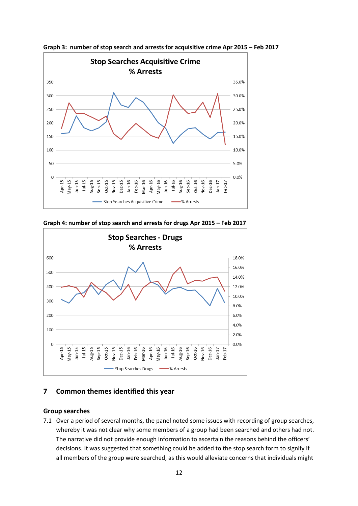

**Graph 3: number of stop search and arrests for acquisitive crime Apr 2015 – Feb 2017**

**Graph 4: number of stop search and arrests for drugs Apr 2015 – Feb 2017**



# **7 Common themes identified this year**

#### **Group searches**

7.1 Over a period of several months, the panel noted some issues with recording of group searches, whereby it was not clear why some members of a group had been searched and others had not. The narrative did not provide enough information to ascertain the reasons behind the officers' decisions. It was suggested that something could be added to the stop search form to signify if all members of the group were searched, as this would alleviate concerns that individuals might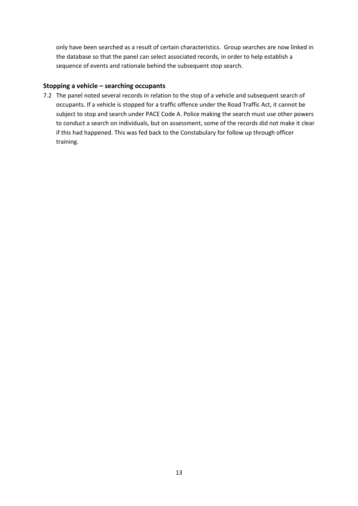only have been searched as a result of certain characteristics. Group searches are now linked in the database so that the panel can select associated records, in order to help establish a sequence of events and rationale behind the subsequent stop search.

#### **Stopping a vehicle – searching occupants**

7.2 The panel noted several records in relation to the stop of a vehicle and subsequent search of occupants. If a vehicle is stopped for a traffic offence under the Road Traffic Act, it cannot be subject to stop and search under PACE Code A. Police making the search must use other powers to conduct a search on individuals, but on assessment, some of the records did not make it clear if this had happened. This was fed back to the Constabulary for follow up through officer training.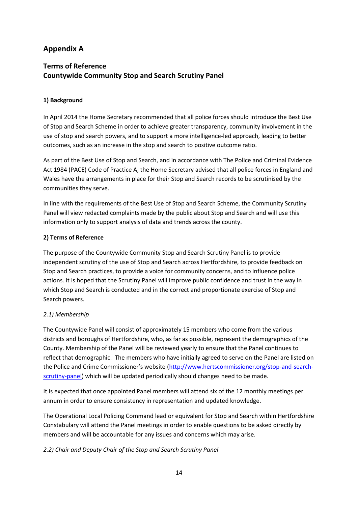# **Appendix A**

# **Terms of Reference Countywide Community Stop and Search Scrutiny Panel**

#### **1) Background**

In April 2014 the Home Secretary recommended that all police forces should introduce the Best Use of Stop and Search Scheme in order to achieve greater transparency, community involvement in the use of stop and search powers, and to support a more intelligence-led approach, leading to better outcomes, such as an increase in the stop and search to positive outcome ratio.

As part of the Best Use of Stop and Search, and in accordance with The Police and Criminal Evidence Act 1984 (PACE) Code of Practice A, the Home Secretary advised that all police forces in England and Wales have the arrangements in place for their Stop and Search records to be scrutinised by the communities they serve.

In line with the requirements of the Best Use of Stop and Search Scheme, the Community Scrutiny Panel will view redacted complaints made by the public about Stop and Search and will use this information only to support analysis of data and trends across the county.

#### **2) Terms of Reference**

The purpose of the Countywide Community Stop and Search Scrutiny Panel is to provide independent scrutiny of the use of Stop and Search across Hertfordshire, to provide feedback on Stop and Search practices, to provide a voice for community concerns, and to influence police actions. It is hoped that the Scrutiny Panel will improve public confidence and trust in the way in which Stop and Search is conducted and in the correct and proportionate exercise of Stop and Search powers.

#### *2.1) Membership*

The Countywide Panel will consist of approximately 15 members who come from the various districts and boroughs of Hertfordshire, who, as far as possible, represent the demographics of the County. Membership of the Panel will be reviewed yearly to ensure that the Panel continues to reflect that demographic. The members who have initially agreed to serve on the Panel are listed on the Police and Crime Commissioner's website ([http://www.hertscommissioner.org/stop-and-search](http://www.hertscommissioner.org/stop-and-search-scrutiny-panel)[scrutiny-panel\)](http://www.hertscommissioner.org/stop-and-search-scrutiny-panel) which will be updated periodically should changes need to be made.

It is expected that once appointed Panel members will attend six of the 12 monthly meetings per annum in order to ensure consistency in representation and updated knowledge.

The Operational Local Policing Command lead or equivalent for Stop and Search within Hertfordshire Constabulary will attend the Panel meetings in order to enable questions to be asked directly by members and will be accountable for any issues and concerns which may arise.

#### *2.2) Chair and Deputy Chair of the Stop and Search Scrutiny Panel*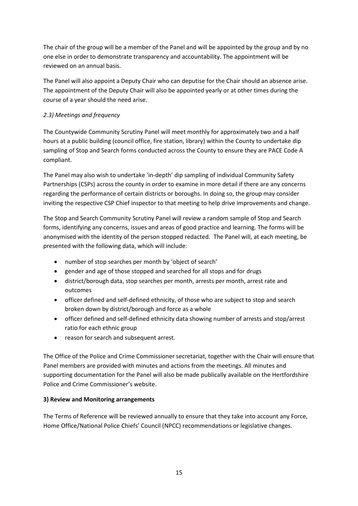The chair of the group will be a member of the Panel and will be appointed by the group and by no one else in order to demonstrate transparency and accountability. The appointment will be reviewed on an annual basis.

The Panel will also appoint a Deputy Chair who can deputise for the Chair should an absence arise. The appointment of the Deputy Chair will also be appointed yearly or at other times during the course of a year should the need arise.

# *2.3) Meetings and frequency*

The Countywide Community Scrutiny Panel will meet monthly for approximately two and a half hours at a public building (council office, fire station, library) within the County to undertake dip sampling of Stop and Search forms conducted across the County to ensure they are PACE Code A compliant.

The Panel may also wish to undertake 'in-depth' dip sampling of individual Community Safety Partnerships (CSPs) across the county in order to examine in more detail if there are any concerns regarding the performance of certain districts or boroughs. In doing so, the group may consider inviting the respective CSP Chief inspector to that meeting to help drive improvements and change.

The Stop and Search Community Scrutiny Panel will review a random sample of Stop and Search forms, identifying any concerns, issues and areas of good practice and learning. The forms will be anonymised with the identity of the person stopped redacted. The Panel will, at each meeting, be presented with the following data, which will include:

- number of stop searches per month by 'object of search'
- gender and age of those stopped and searched for all stops and for drugs
- district/borough data, stop searches per month, arrests per month, arrest rate and outcomes
- officer defined and self-defined ethnicity, of those who are subject to stop and search broken down by district/borough and force as a whole
- officer defined and self-defined ethnicity data showing number of arrests and stop/arrest ratio for each ethnic group
- reason for search and subsequent arrest.

The Office of the Police and Crime Commissioner secretariat, together with the Chair will ensure that Panel members are provided with minutes and actions from the meetings. All minutes and supporting documentation for the Panel will also be made publically available on the Hertfordshire Police and Crime Commissioner's website.

# **3) Review and Monitoring arrangements**

The Terms of Reference will be reviewed annually to ensure that they take into account any Force, Home Office/National Police Chiefs' Council (NPCC) recommendations or legislative changes.